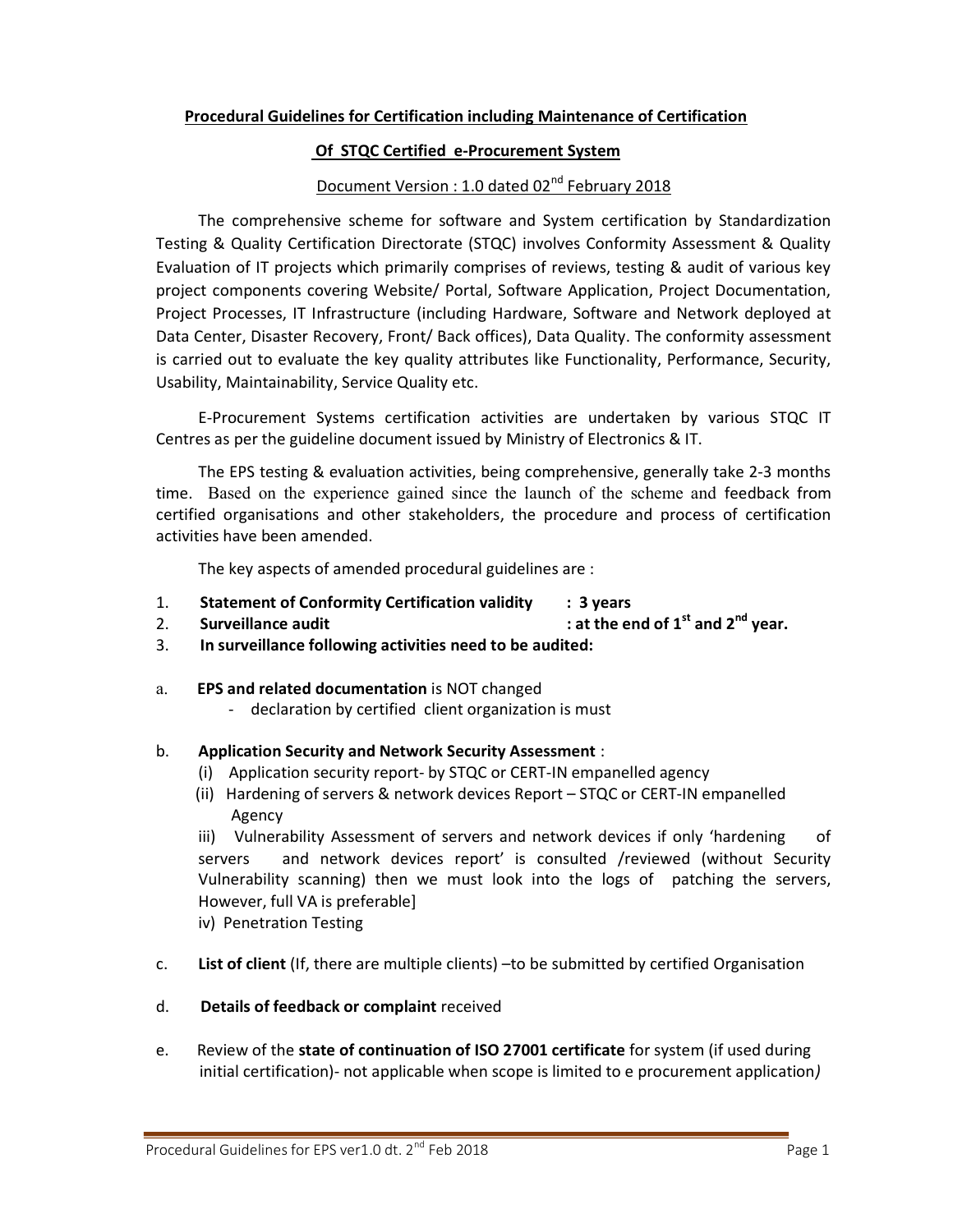## Procedural Guidelines for Certification including Maintenance of Certification

### Of STQC Certified e-Procurement System

# Document Version : 1.0 dated 02<sup>nd</sup> February 2018

The comprehensive scheme for software and System certification by Standardization Testing & Quality Certification Directorate (STQC) involves Conformity Assessment & Quality Evaluation of IT projects which primarily comprises of reviews, testing & audit of various key project components covering Website/ Portal, Software Application, Project Documentation, Project Processes, IT Infrastructure (including Hardware, Software and Network deployed at Data Center, Disaster Recovery, Front/ Back offices), Data Quality. The conformity assessment is carried out to evaluate the key quality attributes like Functionality, Performance, Security, Usability, Maintainability, Service Quality etc.

E-Procurement Systems certification activities are undertaken by various STQC IT Centres as per the guideline document issued by Ministry of Electronics & IT.

The EPS testing & evaluation activities, being comprehensive, generally take 2-3 months time. Based on the experience gained since the launch of the scheme and feedback from certified organisations and other stakeholders, the procedure and process of certification activities have been amended.

The key aspects of amended procedural guidelines are :

- 1. Statement of Conformity Certification validity : 3 years
- 2. Surveillance audit  $\qquad \qquad$  : at the end of  $1^{st}$  and  $2^{nd}$  year.
- 3. In surveillance following activities need to be audited:
- a. EPS and related documentation is NOT changed
	- declaration by certified client organization is must

#### b. Application Security and Network Security Assessment :

- (i) Application security report- by STQC or CERT-IN empanelled agency
- (ii) Hardening of servers & network devices Report STQC or CERT-IN empanelled Agency

iii) Vulnerability Assessment of servers and network devices if only 'hardening of servers and network devices report' is consulted /reviewed (without Security Vulnerability scanning) then we must look into the logs of patching the servers, However, full VA is preferable]

iv) Penetration Testing

- c. List of client (If, there are multiple clients) –to be submitted by certified Organisation
- d. Details of feedback or complaint received
- e. Review of the state of continuation of ISO 27001 certificate for system (if used during initial certification)- not applicable when scope is limited to e procurement application)